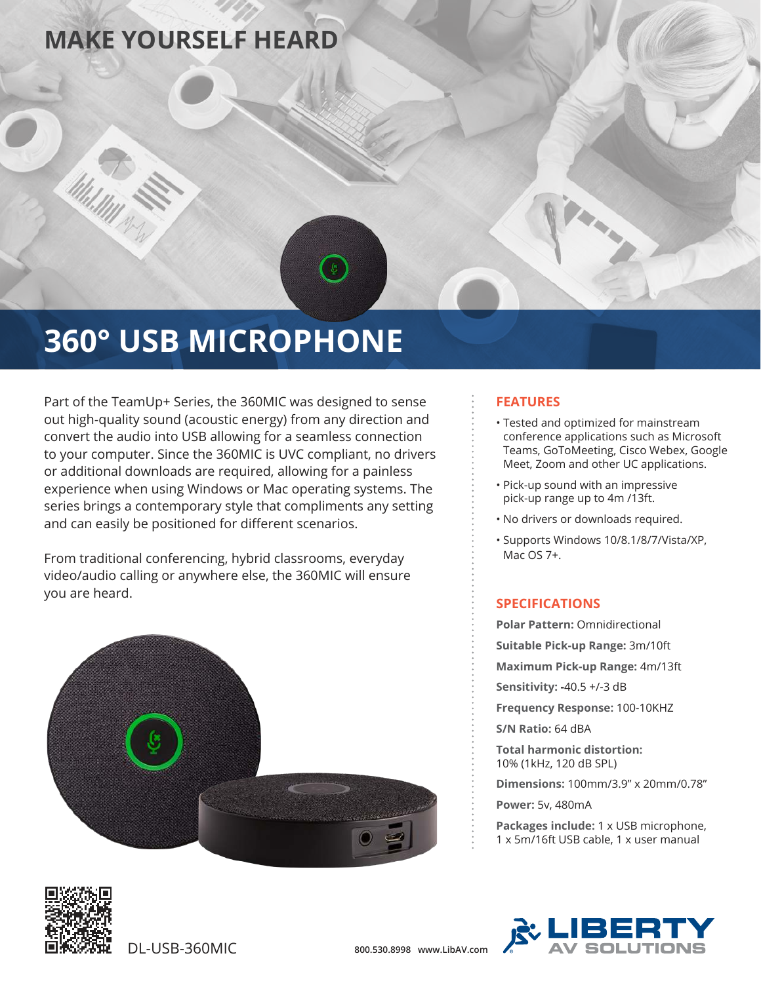### **MAKE YOURSELF HEARD**

# **360° USB MICROPHONE**

Part of the TeamUp+ Series, the 360MIC was designed to sense out high-quality sound (acoustic energy) from any direction and convert the audio into USB allowing for a seamless connection to your computer. Since the 360MIC is UVC compliant, no drivers or additional downloads are required, allowing for a painless experience when using Windows or Mac operating systems. The series brings a contemporary style that compliments any setting and can easily be positioned for different scenarios.

From traditional conferencing, hybrid classrooms, everyday video/audio calling or anywhere else, the 360MIC will ensure you are heard.



### **FEATURES**

- Tested and optimized for mainstream conference applications such as Microsoft Teams, GoToMeeting, Cisco Webex, Google Meet, Zoom and other UC applications.
- Pick-up sound with an impressive pick-up range up to 4m /13ft.
- No drivers or downloads required.
- Supports Windows 10/8.1/8/7/Vista/XP, Mac OS 7+.

### **SPECIFICATIONS**

**Polar Pattern:** Omnidirectional **Suitable Pick-up Range:** 3m/10ft

**Maximum Pick-up Range:** 4m/13ft

**Sensitivity: -**40.5 +/-3 dB

**Frequency Response:** 100-10KHZ

**S/N Ratio:** 64 dBA

**Total harmonic distortion:**  10% (1kHz, 120 dB SPL)

**Dimensions:** 100mm/3.9" x 20mm/0.78"

**Power:** 5v, 480mA

**Packages include:** 1 x USB microphone, 1 x 5m/16ft USB cable, 1 x user manual



DL-USB-360MIC **800.530.8998 www.LibAV.com**